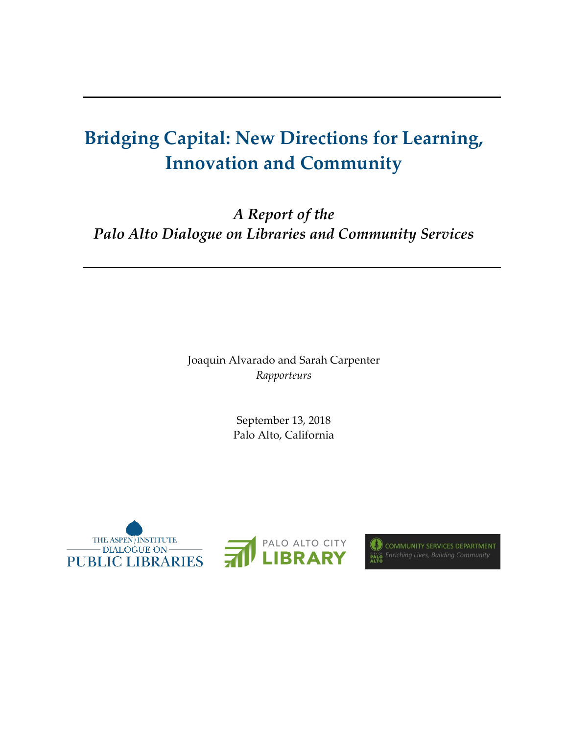# **Bridging Capital: New Directions for Learning, Innovation and Community**

*A Report of the Palo Alto Dialogue on Libraries and Community Services* 

> Joaquin Alvarado and Sarah Carpenter *Rapporteurs*

> > September 13, 2018 Palo Alto, California





COMMUNITY SERVICES DEPARTMENT **EXALG Enriching Lives, Building Community**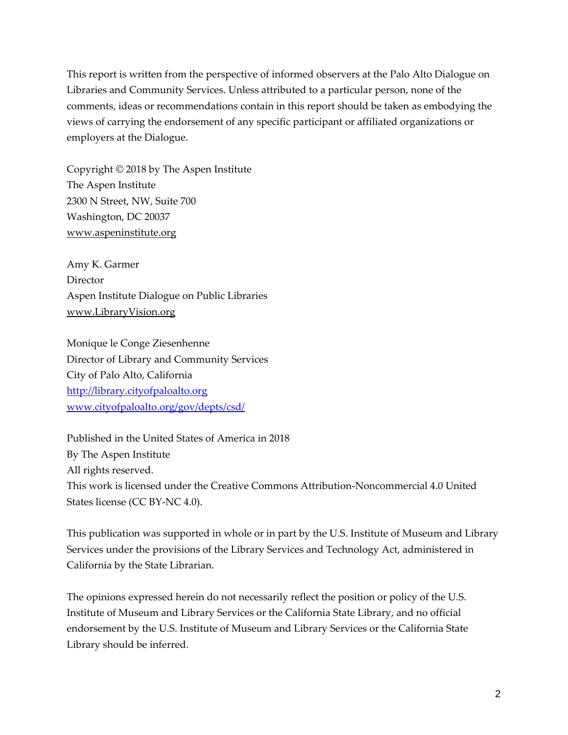This report is written from the perspective of informed observers at the Palo Alto Dialogue on Libraries and Community Services. Unless attributed to a particular person, none of the comments, ideas or recommendations contain in this report should be taken as embodying the views of carrying the endorsement of any specific participant or affiliated organizations or employers at the Dialogue.

Copyright © 2018 by The Aspen Institute The Aspen Institute 2300 N Street, NW, Suite 700 Washington, DC 20037 [www.aspeninstitute.org](http://www.aspeninstitute.org/)

Amy K. Garmer **Director** Aspen Institute Dialogue on Public Libraries [www.LibraryVision.org](http://www.libraryvision.org/)

Monique le Conge Ziesenhenne Director of Library and Community Services City of Palo Alto, California [http://library.cityofpaloalto.org](http://library.cityofpaloalto.org/) [www.cityofpaloalto.org/gov/depts/csd/](http://www.cityofpaloalto.org/gov/depts/csd/)

Published in the United States of America in 2018 By The Aspen Institute All rights reserved. This work is licensed under the Creative Commons Attribution-Noncommercial 4.0 United States license (CC BY-NC 4.0).

This publication was supported in whole or in part by the U.S. Institute of Museum and Library Services under the provisions of the Library Services and Technology Act, administered in California by the State Librarian.

The opinions expressed herein do not necessarily reflect the position or policy of the U.S. Institute of Museum and Library Services or the California State Library, and no official endorsement by the U.S. Institute of Museum and Library Services or the California State Library should be inferred.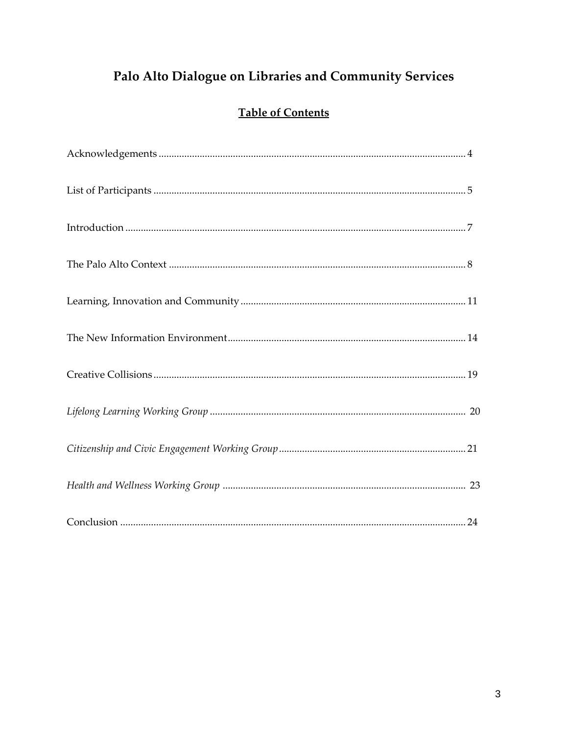# Palo Alto Dialogue on Libraries and Community Services

# **Table of Contents**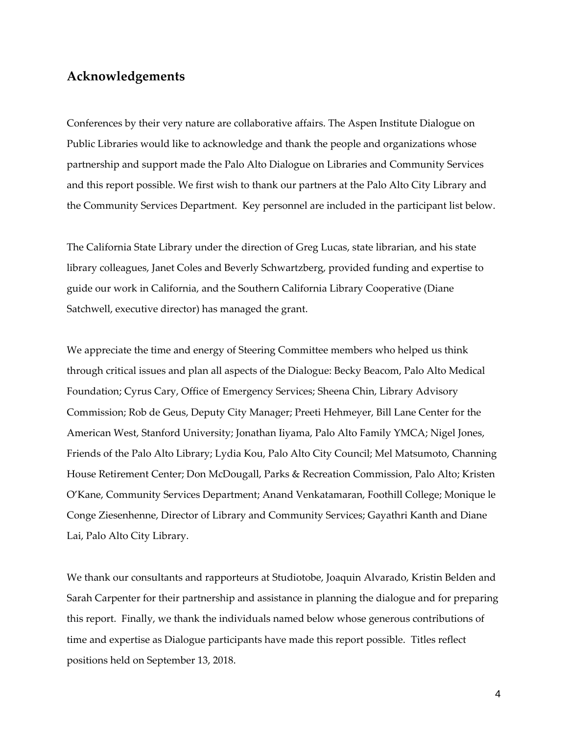## **Acknowledgements**

Conferences by their very nature are collaborative affairs. The Aspen Institute Dialogue on Public Libraries would like to acknowledge and thank the people and organizations whose partnership and support made the Palo Alto Dialogue on Libraries and Community Services and this report possible. We first wish to thank our partners at the Palo Alto City Library and the Community Services Department. Key personnel are included in the participant list below.

The California State Library under the direction of Greg Lucas, state librarian, and his state library colleagues, Janet Coles and Beverly Schwartzberg, provided funding and expertise to guide our work in California, and the Southern California Library Cooperative (Diane Satchwell, executive director) has managed the grant.

We appreciate the time and energy of Steering Committee members who helped us think through critical issues and plan all aspects of the Dialogue: Becky Beacom, Palo Alto Medical Foundation; Cyrus Cary, Office of Emergency Services; Sheena Chin, Library Advisory Commission; Rob de Geus, Deputy City Manager; Preeti Hehmeyer, Bill Lane Center for the American West, Stanford University; Jonathan Iiyama, Palo Alto Family YMCA; Nigel Jones, Friends of the Palo Alto Library; Lydia Kou, Palo Alto City Council; Mel Matsumoto, Channing House Retirement Center; Don McDougall, Parks & Recreation Commission, Palo Alto; Kristen O'Kane, Community Services Department; Anand Venkatamaran, Foothill College; Monique le Conge Ziesenhenne, Director of Library and Community Services; Gayathri Kanth and Diane Lai, Palo Alto City Library.

We thank our consultants and rapporteurs at Studiotobe, Joaquin Alvarado, Kristin Belden and Sarah Carpenter for their partnership and assistance in planning the dialogue and for preparing this report. Finally, we thank the individuals named below whose generous contributions of time and expertise as Dialogue participants have made this report possible. Titles reflect positions held on September 13, 2018.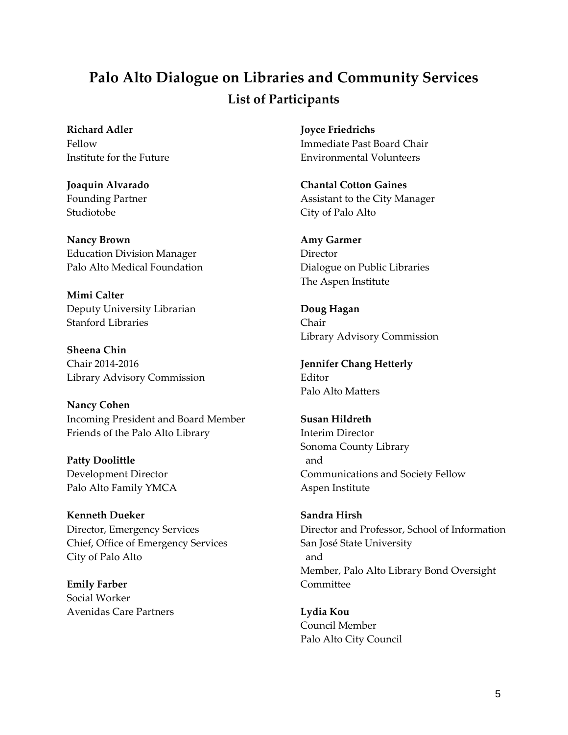# **Palo Alto Dialogue on Libraries and Community Services List of Participants**

**Richard Adler** Fellow Institute for the Future

**Joaquin Alvarado** Founding Partner Studiotobe

**Nancy Brown** Education Division Manager Palo Alto Medical Foundation

**Mimi Calter** Deputy University Librarian Stanford Libraries

**Sheena Chin** Chair 2014-2016 Library Advisory Commission

**Nancy Cohen** Incoming President and Board Member Friends of the Palo Alto Library

**Patty Doolittle** Development Director Palo Alto Family YMCA

**Kenneth Dueker** Director, Emergency Services Chief, Office of Emergency Services City of Palo Alto

**Emily Farber** Social Worker Avenidas Care Partners **Joyce Friedrichs** Immediate Past Board Chair Environmental Volunteers

**Chantal Cotton Gaines** Assistant to the City Manager City of Palo Alto

**Amy Garmer** Director Dialogue on Public Libraries The Aspen Institute

**Doug Hagan** Chair Library Advisory Commission

**Jennifer Chang Hetterly** Editor Palo Alto Matters

**Susan Hildreth** Interim Director Sonoma County Library and Communications and Society Fellow Aspen Institute

**Sandra Hirsh** Director and Professor, School of Information San José State University and Member, Palo Alto Library Bond Oversight **Committee** 

**Lydia Kou** Council Member Palo Alto City Council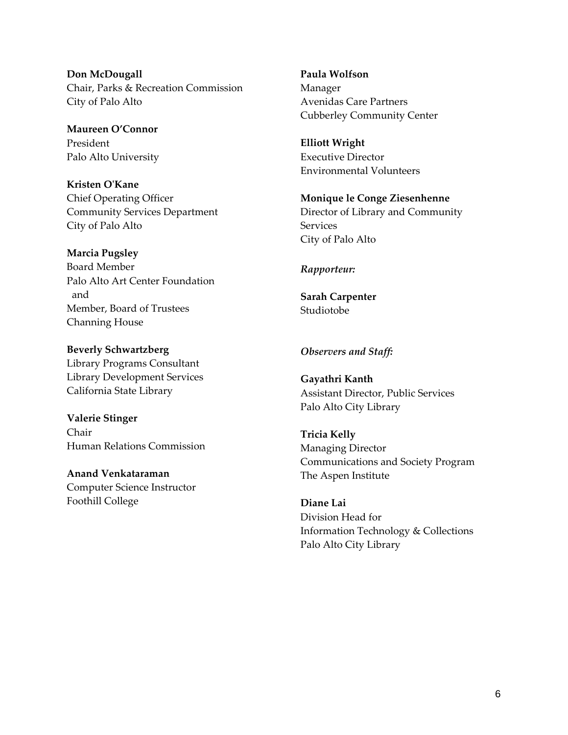**Don McDougall** Chair, Parks & Recreation Commission City of Palo Alto

**Maureen O'Connor** President Palo Alto University

**Kristen O'Kane** Chief Operating Officer Community Services Department City of Palo Alto

**Marcia Pugsley** Board Member Palo Alto Art Center Foundation and Member, Board of Trustees Channing House

**Beverly Schwartzberg** Library Programs Consultant Library Development Services California State Library

**Valerie Stinger** Chair Human Relations Commission

**Anand Venkataraman** Computer Science Instructor Foothill College

**Paula Wolfson** Manager Avenidas Care Partners Cubberley Community Center

**Elliott Wright** Executive Director Environmental Volunteers

**Monique le Conge Ziesenhenne** Director of Library and Community **Services** City of Palo Alto

#### *Rapporteur:*

**Sarah Carpenter** Studiotobe

#### *Observers and Staff:*

**Gayathri Kanth** Assistant Director, Public Services Palo Alto City Library

**Tricia Kelly** Managing Director Communications and Society Program The Aspen Institute

**Diane Lai** Division Head for Information Technology & Collections Palo Alto City Library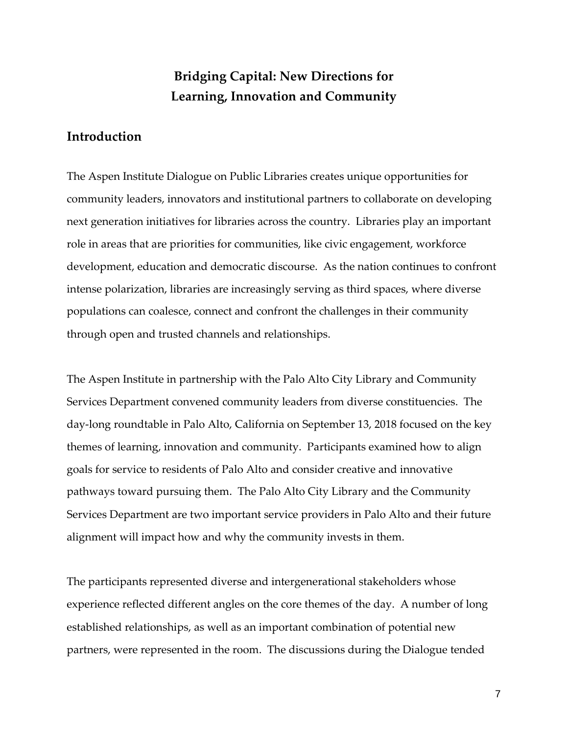# **Bridging Capital: New Directions for Learning, Innovation and Community**

# **Introduction**

The Aspen Institute Dialogue on Public Libraries creates unique opportunities for community leaders, innovators and institutional partners to collaborate on developing next generation initiatives for libraries across the country. Libraries play an important role in areas that are priorities for communities, like civic engagement, workforce development, education and democratic discourse. As the nation continues to confront intense polarization, libraries are increasingly serving as third spaces, where diverse populations can coalesce, connect and confront the challenges in their community through open and trusted channels and relationships.

The Aspen Institute in partnership with the Palo Alto City Library and Community Services Department convened community leaders from diverse constituencies. The day-long roundtable in Palo Alto, California on September 13, 2018 focused on the key themes of learning, innovation and community. Participants examined how to align goals for service to residents of Palo Alto and consider creative and innovative pathways toward pursuing them. The Palo Alto City Library and the Community Services Department are two important service providers in Palo Alto and their future alignment will impact how and why the community invests in them.

The participants represented diverse and intergenerational stakeholders whose experience reflected different angles on the core themes of the day. A number of long established relationships, as well as an important combination of potential new partners, were represented in the room. The discussions during the Dialogue tended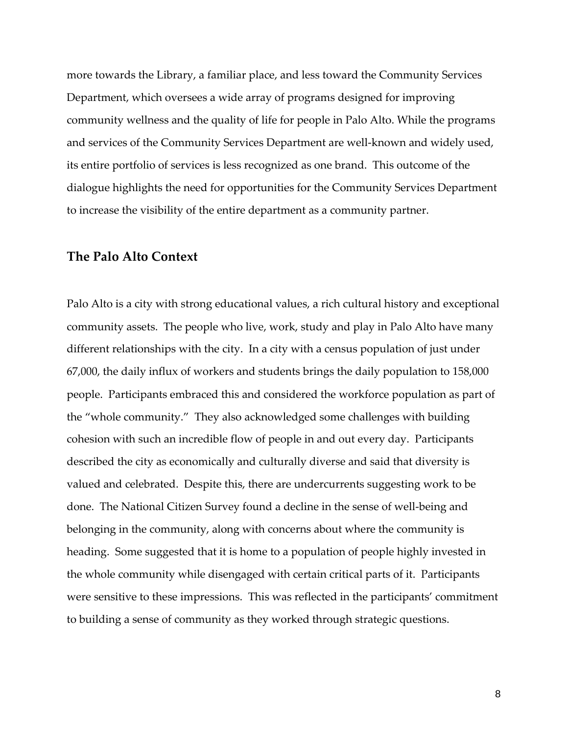more towards the Library, a familiar place, and less toward the Community Services Department, which oversees a wide array of programs designed for improving community wellness and the quality of life for people in Palo Alto. While the programs and services of the Community Services Department are well-known and widely used, its entire portfolio of services is less recognized as one brand. This outcome of the dialogue highlights the need for opportunities for the Community Services Department to increase the visibility of the entire department as a community partner.

#### **The Palo Alto Context**

Palo Alto is a city with strong educational values, a rich cultural history and exceptional community assets. The people who live, work, study and play in Palo Alto have many different relationships with the city. In a city with a census population of just under 67,000, the daily influx of workers and students brings the daily population to 158,000 people. Participants embraced this and considered the workforce population as part of the "whole community." They also acknowledged some challenges with building cohesion with such an incredible flow of people in and out every day. Participants described the city as economically and culturally diverse and said that diversity is valued and celebrated. Despite this, there are undercurrents suggesting work to be done. The National Citizen Survey found a decline in the sense of well-being and belonging in the community, along with concerns about where the community is heading. Some suggested that it is home to a population of people highly invested in the whole community while disengaged with certain critical parts of it. Participants were sensitive to these impressions. This was reflected in the participants' commitment to building a sense of community as they worked through strategic questions.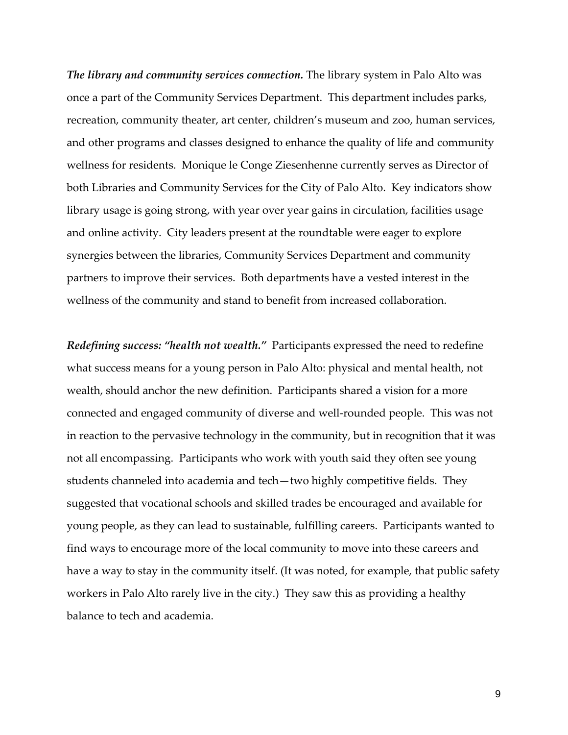*The library and community services connection.* The library system in Palo Alto was once a part of the Community Services Department. This department includes parks, recreation, community theater, art center, children's museum and zoo, human services, and other programs and classes designed to enhance the quality of life and community wellness for residents. Monique le Conge Ziesenhenne currently serves as Director of both Libraries and Community Services for the City of Palo Alto. Key indicators show library usage is going strong, with year over year gains in circulation, facilities usage and online activity. City leaders present at the roundtable were eager to explore synergies between the libraries, Community Services Department and community partners to improve their services. Both departments have a vested interest in the wellness of the community and stand to benefit from increased collaboration.

*Redefining success: "health not wealth."* Participants expressed the need to redefine what success means for a young person in Palo Alto: physical and mental health, not wealth, should anchor the new definition. Participants shared a vision for a more connected and engaged community of diverse and well-rounded people. This was not in reaction to the pervasive technology in the community, but in recognition that it was not all encompassing. Participants who work with youth said they often see young students channeled into academia and tech—two highly competitive fields. They suggested that vocational schools and skilled trades be encouraged and available for young people, as they can lead to sustainable, fulfilling careers. Participants wanted to find ways to encourage more of the local community to move into these careers and have a way to stay in the community itself. (It was noted, for example, that public safety workers in Palo Alto rarely live in the city.) They saw this as providing a healthy balance to tech and academia.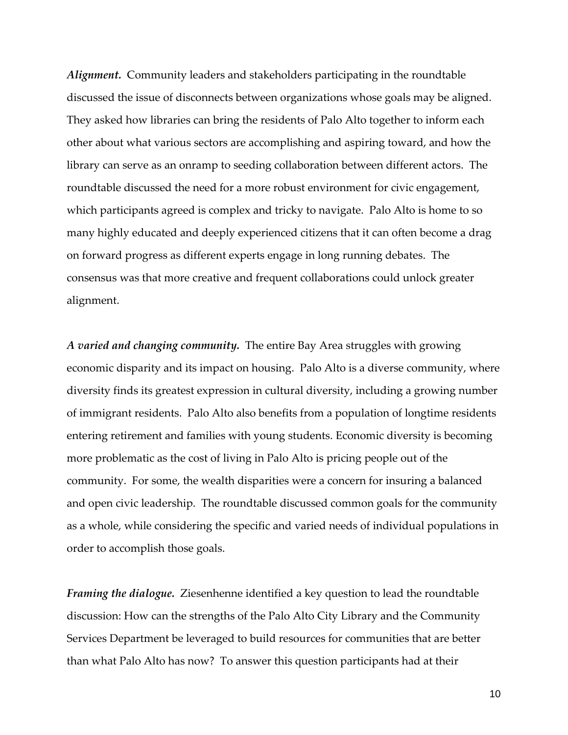*Alignment.* Community leaders and stakeholders participating in the roundtable discussed the issue of disconnects between organizations whose goals may be aligned. They asked how libraries can bring the residents of Palo Alto together to inform each other about what various sectors are accomplishing and aspiring toward, and how the library can serve as an onramp to seeding collaboration between different actors. The roundtable discussed the need for a more robust environment for civic engagement, which participants agreed is complex and tricky to navigate. Palo Alto is home to so many highly educated and deeply experienced citizens that it can often become a drag on forward progress as different experts engage in long running debates. The consensus was that more creative and frequent collaborations could unlock greater alignment.

*A varied and changing community.* The entire Bay Area struggles with growing economic disparity and its impact on housing. Palo Alto is a diverse community, where diversity finds its greatest expression in cultural diversity, including a growing number of immigrant residents. Palo Alto also benefits from a population of longtime residents entering retirement and families with young students. Economic diversity is becoming more problematic as the cost of living in Palo Alto is pricing people out of the community. For some, the wealth disparities were a concern for insuring a balanced and open civic leadership. The roundtable discussed common goals for the community as a whole, while considering the specific and varied needs of individual populations in order to accomplish those goals.

*Framing the dialogue.* Ziesenhenne identified a key question to lead the roundtable discussion: How can the strengths of the Palo Alto City Library and the Community Services Department be leveraged to build resources for communities that are better than what Palo Alto has now? To answer this question participants had at their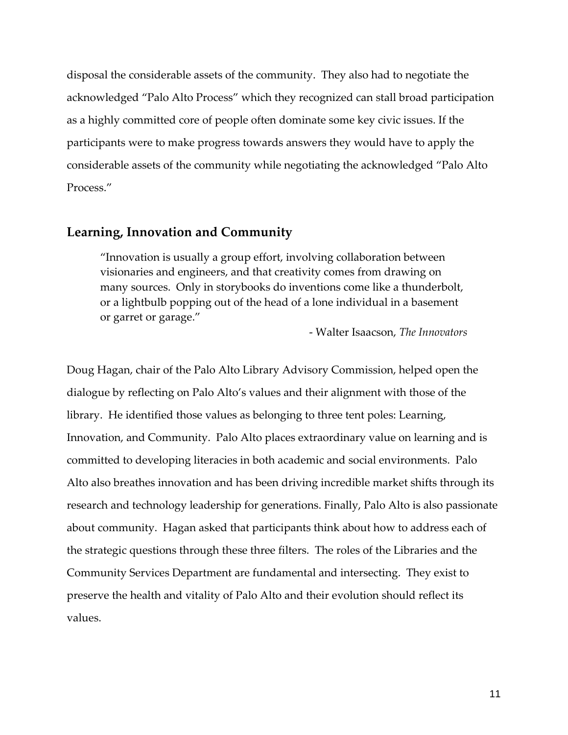disposal the considerable assets of the community. They also had to negotiate the acknowledged "Palo Alto Process" which they recognized can stall broad participation as a highly committed core of people often dominate some key civic issues. If the participants were to make progress towards answers they would have to apply the considerable assets of the community while negotiating the acknowledged "Palo Alto Process."

### **Learning, Innovation and Community**

"Innovation is usually a group effort, involving collaboration between visionaries and engineers, and that creativity comes from drawing on many sources. Only in storybooks do inventions come like a thunderbolt, or a lightbulb popping out of the head of a lone individual in a basement or garret or garage."

- Walter Isaacson, *The Innovators*

Doug Hagan, chair of the Palo Alto Library Advisory Commission, helped open the dialogue by reflecting on Palo Alto's values and their alignment with those of the library. He identified those values as belonging to three tent poles: Learning, Innovation, and Community. Palo Alto places extraordinary value on learning and is committed to developing literacies in both academic and social environments. Palo Alto also breathes innovation and has been driving incredible market shifts through its research and technology leadership for generations. Finally, Palo Alto is also passionate about community. Hagan asked that participants think about how to address each of the strategic questions through these three filters. The roles of the Libraries and the Community Services Department are fundamental and intersecting. They exist to preserve the health and vitality of Palo Alto and their evolution should reflect its values.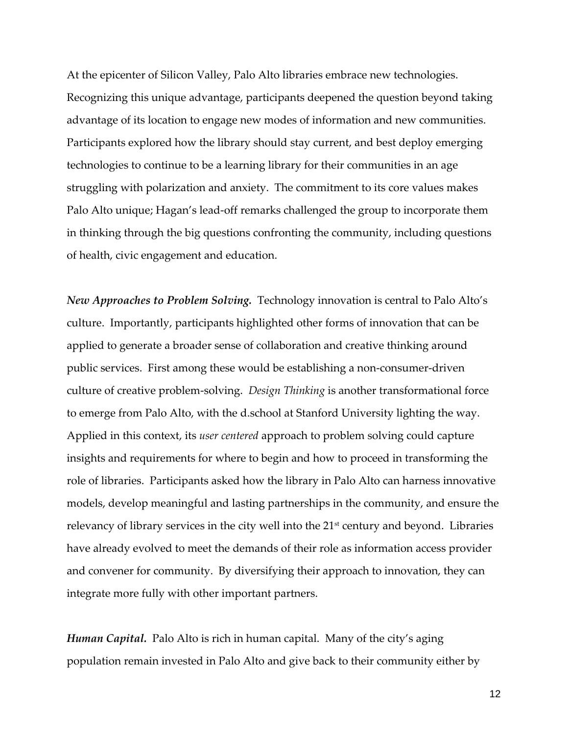At the epicenter of Silicon Valley, Palo Alto libraries embrace new technologies. Recognizing this unique advantage, participants deepened the question beyond taking advantage of its location to engage new modes of information and new communities. Participants explored how the library should stay current, and best deploy emerging technologies to continue to be a learning library for their communities in an age struggling with polarization and anxiety. The commitment to its core values makes Palo Alto unique; Hagan's lead-off remarks challenged the group to incorporate them in thinking through the big questions confronting the community, including questions of health, civic engagement and education.

*New Approaches to Problem Solving.* Technology innovation is central to Palo Alto's culture. Importantly, participants highlighted other forms of innovation that can be applied to generate a broader sense of collaboration and creative thinking around public services. First among these would be establishing a non-consumer-driven culture of creative problem-solving. *Design Thinking* is another transformational force to emerge from Palo Alto, with the d.school at Stanford University lighting the way. Applied in this context, its *user centered* approach to problem solving could capture insights and requirements for where to begin and how to proceed in transforming the role of libraries. Participants asked how the library in Palo Alto can harness innovative models, develop meaningful and lasting partnerships in the community, and ensure the relevancy of library services in the city well into the 21<sup>st</sup> century and beyond. Libraries have already evolved to meet the demands of their role as information access provider and convener for community. By diversifying their approach to innovation, they can integrate more fully with other important partners.

*Human Capital.* Palo Alto is rich in human capital. Many of the city's aging population remain invested in Palo Alto and give back to their community either by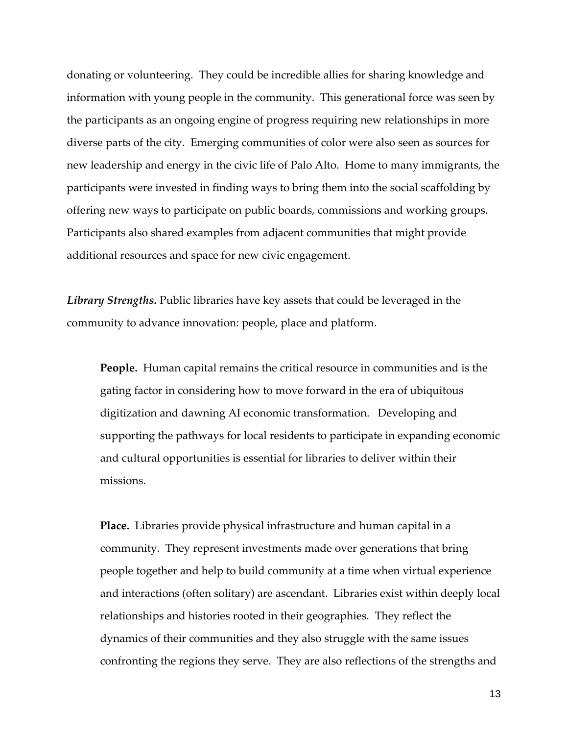donating or volunteering. They could be incredible allies for sharing knowledge and information with young people in the community. This generational force was seen by the participants as an ongoing engine of progress requiring new relationships in more diverse parts of the city. Emerging communities of color were also seen as sources for new leadership and energy in the civic life of Palo Alto. Home to many immigrants, the participants were invested in finding ways to bring them into the social scaffolding by offering new ways to participate on public boards, commissions and working groups. Participants also shared examples from adjacent communities that might provide additional resources and space for new civic engagement.

*Library Strengths.* Public libraries have key assets that could be leveraged in the community to advance innovation: people, place and platform.

**People.** Human capital remains the critical resource in communities and is the gating factor in considering how to move forward in the era of ubiquitous digitization and dawning AI economic transformation. Developing and supporting the pathways for local residents to participate in expanding economic and cultural opportunities is essential for libraries to deliver within their missions.

**Place.** Libraries provide physical infrastructure and human capital in a community. They represent investments made over generations that bring people together and help to build community at a time when virtual experience and interactions (often solitary) are ascendant. Libraries exist within deeply local relationships and histories rooted in their geographies. They reflect the dynamics of their communities and they also struggle with the same issues confronting the regions they serve. They are also reflections of the strengths and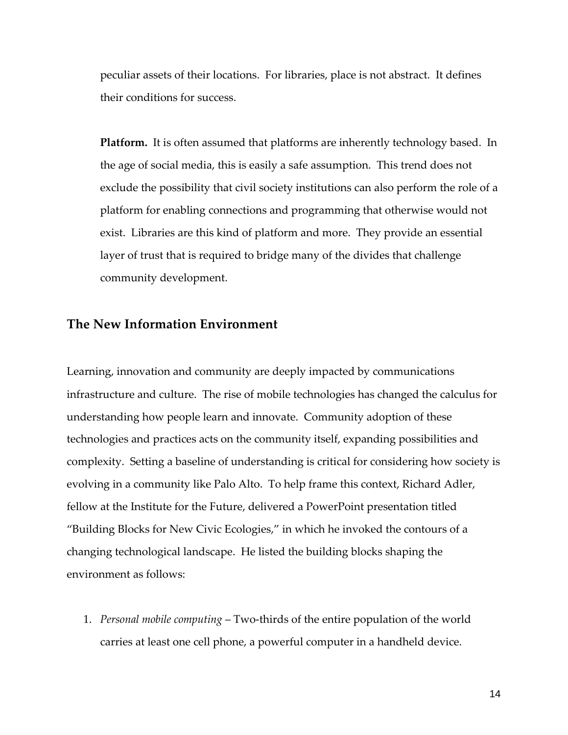peculiar assets of their locations. For libraries, place is not abstract. It defines their conditions for success.

**Platform.** It is often assumed that platforms are inherently technology based. In the age of social media, this is easily a safe assumption. This trend does not exclude the possibility that civil society institutions can also perform the role of a platform for enabling connections and programming that otherwise would not exist. Libraries are this kind of platform and more. They provide an essential layer of trust that is required to bridge many of the divides that challenge community development.

# **The New Information Environment**

Learning, innovation and community are deeply impacted by communications infrastructure and culture. The rise of mobile technologies has changed the calculus for understanding how people learn and innovate. Community adoption of these technologies and practices acts on the community itself, expanding possibilities and complexity. Setting a baseline of understanding is critical for considering how society is evolving in a community like Palo Alto. To help frame this context, Richard Adler, fellow at the Institute for the Future, delivered a PowerPoint presentation titled "Building Blocks for New Civic Ecologies," in which he invoked the contours of a changing technological landscape. He listed the building blocks shaping the environment as follows:

1. *Personal mobile computing* – Two-thirds of the entire population of the world carries at least one cell phone, a powerful computer in a handheld device.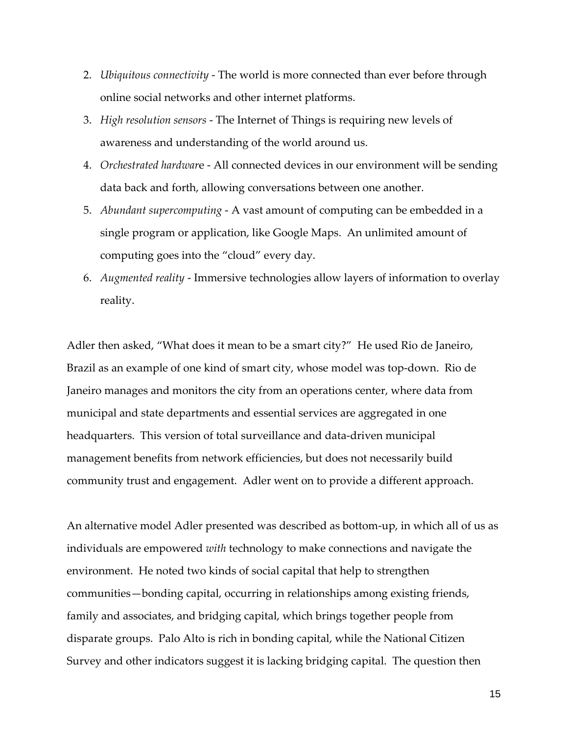- 2. *Ubiquitous connectivity* The world is more connected than ever before through online social networks and other internet platforms.
- 3. *High resolution sensors*  The Internet of Things is requiring new levels of awareness and understanding of the world around us.
- 4. *Orchestrated hardwar*e All connected devices in our environment will be sending data back and forth, allowing conversations between one another.
- 5. *Abundant supercomputing* A vast amount of computing can be embedded in a single program or application, like Google Maps. An unlimited amount of computing goes into the "cloud" every day.
- 6. *Augmented reality* Immersive technologies allow layers of information to overlay reality.

Adler then asked, "What does it mean to be a smart city?" He used Rio de Janeiro, Brazil as an example of one kind of smart city, whose model was top-down. Rio de Janeiro manages and monitors the city from an operations center, where data from municipal and state departments and essential services are aggregated in one headquarters. This version of total surveillance and data-driven municipal management benefits from network efficiencies, but does not necessarily build community trust and engagement. Adler went on to provide a different approach.

An alternative model Adler presented was described as bottom-up, in which all of us as individuals are empowered *with* technology to make connections and navigate the environment. He noted two kinds of social capital that help to strengthen communities—bonding capital, occurring in relationships among existing friends, family and associates, and bridging capital, which brings together people from disparate groups. Palo Alto is rich in bonding capital, while the National Citizen Survey and other indicators suggest it is lacking bridging capital. The question then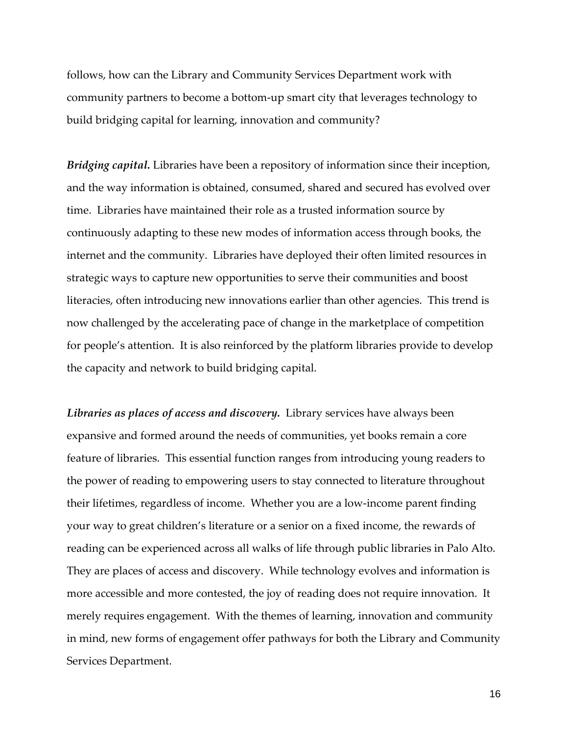follows, how can the Library and Community Services Department work with community partners to become a bottom-up smart city that leverages technology to build bridging capital for learning, innovation and community?

*Bridging capital.* Libraries have been a repository of information since their inception, and the way information is obtained, consumed, shared and secured has evolved over time. Libraries have maintained their role as a trusted information source by continuously adapting to these new modes of information access through books, the internet and the community. Libraries have deployed their often limited resources in strategic ways to capture new opportunities to serve their communities and boost literacies, often introducing new innovations earlier than other agencies. This trend is now challenged by the accelerating pace of change in the marketplace of competition for people's attention. It is also reinforced by the platform libraries provide to develop the capacity and network to build bridging capital.

*Libraries as places of access and discovery.* Library services have always been expansive and formed around the needs of communities, yet books remain a core feature of libraries. This essential function ranges from introducing young readers to the power of reading to empowering users to stay connected to literature throughout their lifetimes, regardless of income. Whether you are a low-income parent finding your way to great children's literature or a senior on a fixed income, the rewards of reading can be experienced across all walks of life through public libraries in Palo Alto. They are places of access and discovery. While technology evolves and information is more accessible and more contested, the joy of reading does not require innovation. It merely requires engagement. With the themes of learning, innovation and community in mind, new forms of engagement offer pathways for both the Library and Community Services Department.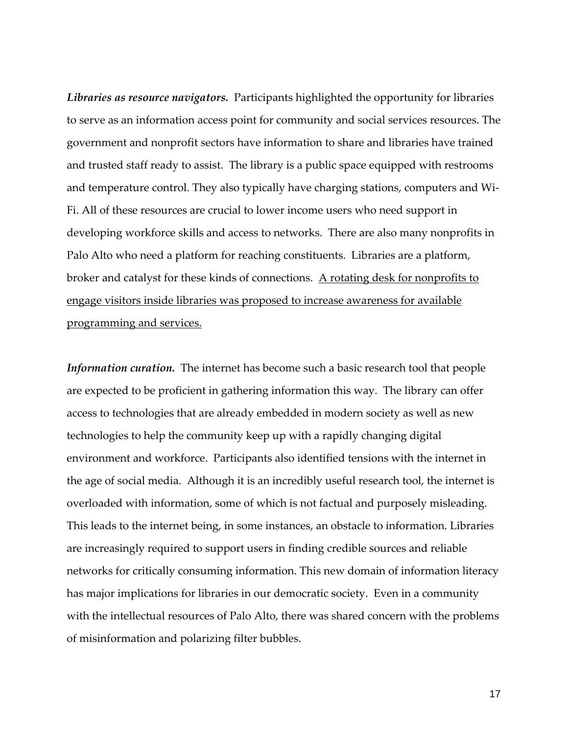*Libraries as resource navigators.* Participants highlighted the opportunity for libraries to serve as an information access point for community and social services resources. The government and nonprofit sectors have information to share and libraries have trained and trusted staff ready to assist. The library is a public space equipped with restrooms and temperature control. They also typically have charging stations, computers and Wi-Fi. All of these resources are crucial to lower income users who need support in developing workforce skills and access to networks. There are also many nonprofits in Palo Alto who need a platform for reaching constituents. Libraries are a platform, broker and catalyst for these kinds of connections. A rotating desk for nonprofits to engage visitors inside libraries was proposed to increase awareness for available programming and services.

*Information curation.* The internet has become such a basic research tool that people are expected to be proficient in gathering information this way. The library can offer access to technologies that are already embedded in modern society as well as new technologies to help the community keep up with a rapidly changing digital environment and workforce. Participants also identified tensions with the internet in the age of social media. Although it is an incredibly useful research tool, the internet is overloaded with information, some of which is not factual and purposely misleading. This leads to the internet being, in some instances, an obstacle to information. Libraries are increasingly required to support users in finding credible sources and reliable networks for critically consuming information. This new domain of information literacy has major implications for libraries in our democratic society. Even in a community with the intellectual resources of Palo Alto, there was shared concern with the problems of misinformation and polarizing filter bubbles.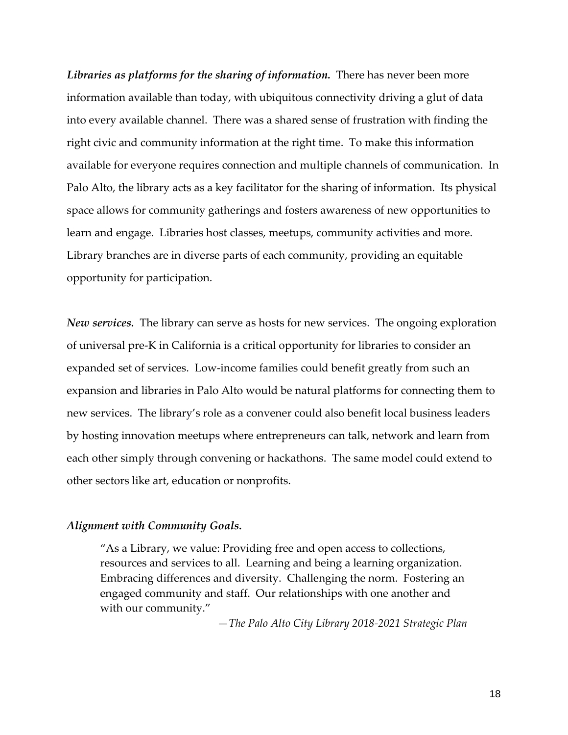*Libraries as platforms for the sharing of information.* There has never been more information available than today, with ubiquitous connectivity driving a glut of data into every available channel. There was a shared sense of frustration with finding the right civic and community information at the right time. To make this information available for everyone requires connection and multiple channels of communication. In Palo Alto, the library acts as a key facilitator for the sharing of information. Its physical space allows for community gatherings and fosters awareness of new opportunities to learn and engage. Libraries host classes, meetups, community activities and more. Library branches are in diverse parts of each community, providing an equitable opportunity for participation.

*New services.* The library can serve as hosts for new services. The ongoing exploration of universal pre-K in California is a critical opportunity for libraries to consider an expanded set of services. Low-income families could benefit greatly from such an expansion and libraries in Palo Alto would be natural platforms for connecting them to new services. The library's role as a convener could also benefit local business leaders by hosting innovation meetups where entrepreneurs can talk, network and learn from each other simply through convening or hackathons. The same model could extend to other sectors like art, education or nonprofits.

#### *Alignment with Community Goals.*

"As a Library, we value: Providing free and open access to collections, resources and services to all. Learning and being a learning organization. Embracing differences and diversity. Challenging the norm. Fostering an engaged community and staff. Our relationships with one another and with our community."

—*The Palo Alto City Library 2018-2021 Strategic Plan*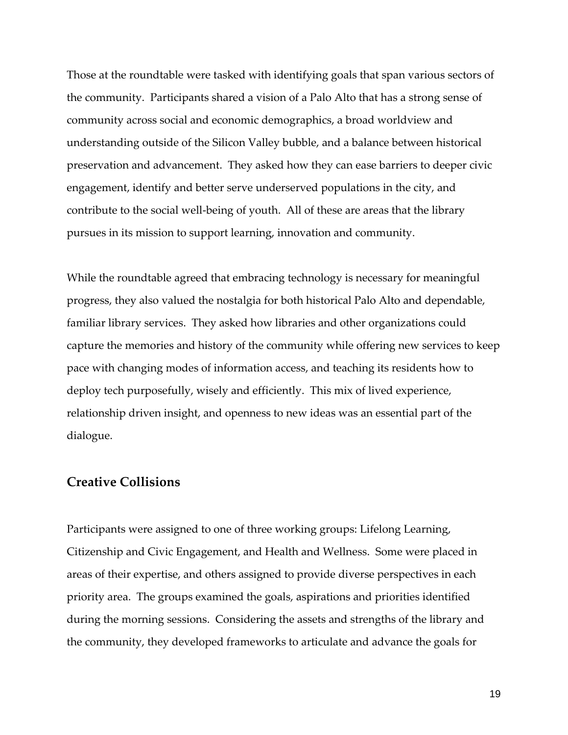Those at the roundtable were tasked with identifying goals that span various sectors of the community. Participants shared a vision of a Palo Alto that has a strong sense of community across social and economic demographics, a broad worldview and understanding outside of the Silicon Valley bubble, and a balance between historical preservation and advancement. They asked how they can ease barriers to deeper civic engagement, identify and better serve underserved populations in the city, and contribute to the social well-being of youth. All of these are areas that the library pursues in its mission to support learning, innovation and community.

While the roundtable agreed that embracing technology is necessary for meaningful progress, they also valued the nostalgia for both historical Palo Alto and dependable, familiar library services. They asked how libraries and other organizations could capture the memories and history of the community while offering new services to keep pace with changing modes of information access, and teaching its residents how to deploy tech purposefully, wisely and efficiently. This mix of lived experience, relationship driven insight, and openness to new ideas was an essential part of the dialogue.

### **Creative Collisions**

Participants were assigned to one of three working groups: Lifelong Learning, Citizenship and Civic Engagement, and Health and Wellness. Some were placed in areas of their expertise, and others assigned to provide diverse perspectives in each priority area. The groups examined the goals, aspirations and priorities identified during the morning sessions. Considering the assets and strengths of the library and the community, they developed frameworks to articulate and advance the goals for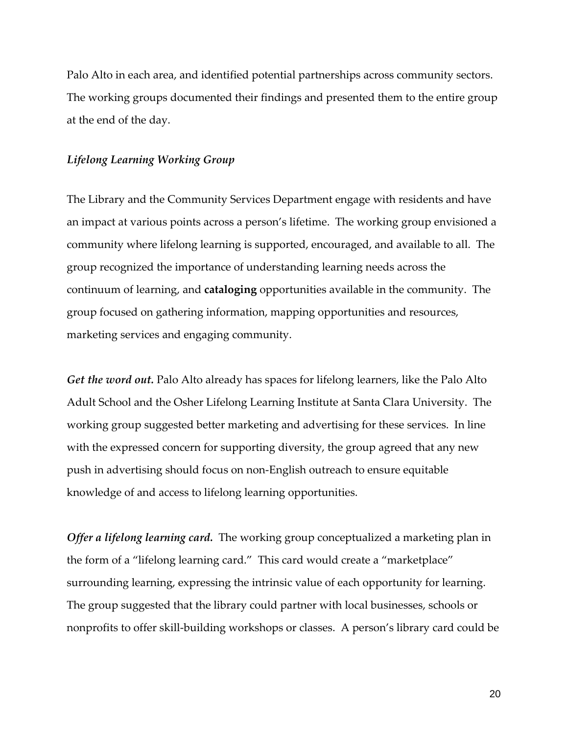Palo Alto in each area, and identified potential partnerships across community sectors. The working groups documented their findings and presented them to the entire group at the end of the day.

#### *Lifelong Learning Working Group*

The Library and the Community Services Department engage with residents and have an impact at various points across a person's lifetime. The working group envisioned a community where lifelong learning is supported, encouraged, and available to all. The group recognized the importance of understanding learning needs across the continuum of learning, and **cataloging** opportunities available in the community. The group focused on gathering information, mapping opportunities and resources, marketing services and engaging community.

*Get the word out.* Palo Alto already has spaces for lifelong learners, like the Palo Alto Adult School and the Osher Lifelong Learning Institute at Santa Clara University. The working group suggested better marketing and advertising for these services. In line with the expressed concern for supporting diversity, the group agreed that any new push in advertising should focus on non-English outreach to ensure equitable knowledge of and access to lifelong learning opportunities.

*Offer a lifelong learning card.* The working group conceptualized a marketing plan in the form of a "lifelong learning card." This card would create a "marketplace" surrounding learning, expressing the intrinsic value of each opportunity for learning. The group suggested that the library could partner with local businesses, schools or nonprofits to offer skill-building workshops or classes. A person's library card could be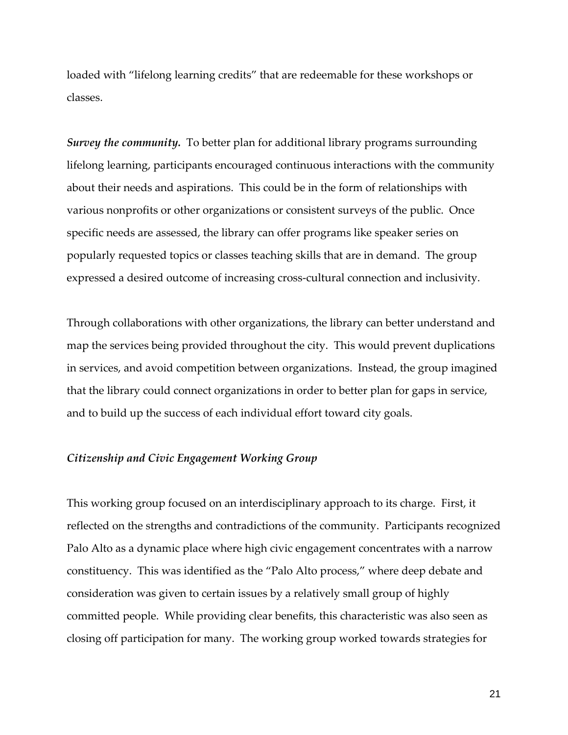loaded with "lifelong learning credits" that are redeemable for these workshops or classes.

*Survey the community.* To better plan for additional library programs surrounding lifelong learning, participants encouraged continuous interactions with the community about their needs and aspirations. This could be in the form of relationships with various nonprofits or other organizations or consistent surveys of the public. Once specific needs are assessed, the library can offer programs like speaker series on popularly requested topics or classes teaching skills that are in demand. The group expressed a desired outcome of increasing cross-cultural connection and inclusivity.

Through collaborations with other organizations, the library can better understand and map the services being provided throughout the city. This would prevent duplications in services, and avoid competition between organizations. Instead, the group imagined that the library could connect organizations in order to better plan for gaps in service, and to build up the success of each individual effort toward city goals.

#### *Citizenship and Civic Engagement Working Group*

This working group focused on an interdisciplinary approach to its charge. First, it reflected on the strengths and contradictions of the community. Participants recognized Palo Alto as a dynamic place where high civic engagement concentrates with a narrow constituency. This was identified as the "Palo Alto process," where deep debate and consideration was given to certain issues by a relatively small group of highly committed people. While providing clear benefits, this characteristic was also seen as closing off participation for many. The working group worked towards strategies for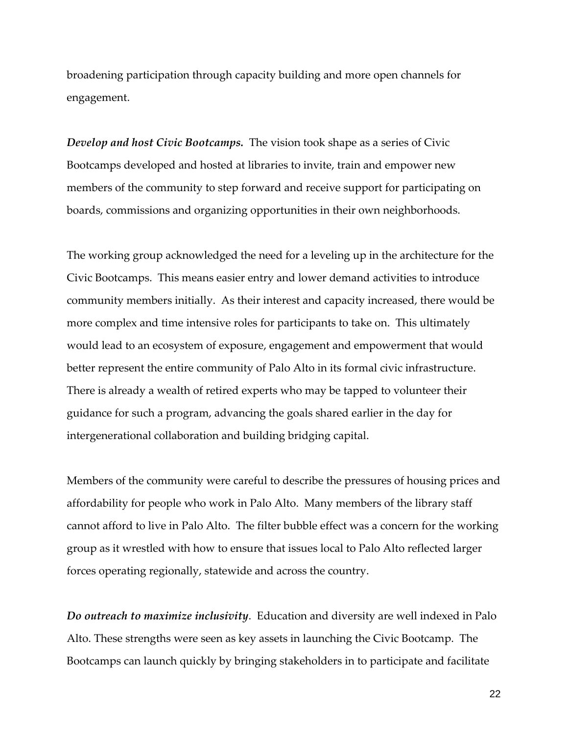broadening participation through capacity building and more open channels for engagement.

*Develop and host Civic Bootcamps.* The vision took shape as a series of Civic Bootcamps developed and hosted at libraries to invite, train and empower new members of the community to step forward and receive support for participating on boards, commissions and organizing opportunities in their own neighborhoods.

The working group acknowledged the need for a leveling up in the architecture for the Civic Bootcamps. This means easier entry and lower demand activities to introduce community members initially. As their interest and capacity increased, there would be more complex and time intensive roles for participants to take on. This ultimately would lead to an ecosystem of exposure, engagement and empowerment that would better represent the entire community of Palo Alto in its formal civic infrastructure. There is already a wealth of retired experts who may be tapped to volunteer their guidance for such a program, advancing the goals shared earlier in the day for intergenerational collaboration and building bridging capital.

Members of the community were careful to describe the pressures of housing prices and affordability for people who work in Palo Alto. Many members of the library staff cannot afford to live in Palo Alto. The filter bubble effect was a concern for the working group as it wrestled with how to ensure that issues local to Palo Alto reflected larger forces operating regionally, statewide and across the country.

*Do outreach to maximize inclusivity*. Education and diversity are well indexed in Palo Alto. These strengths were seen as key assets in launching the Civic Bootcamp. The Bootcamps can launch quickly by bringing stakeholders in to participate and facilitate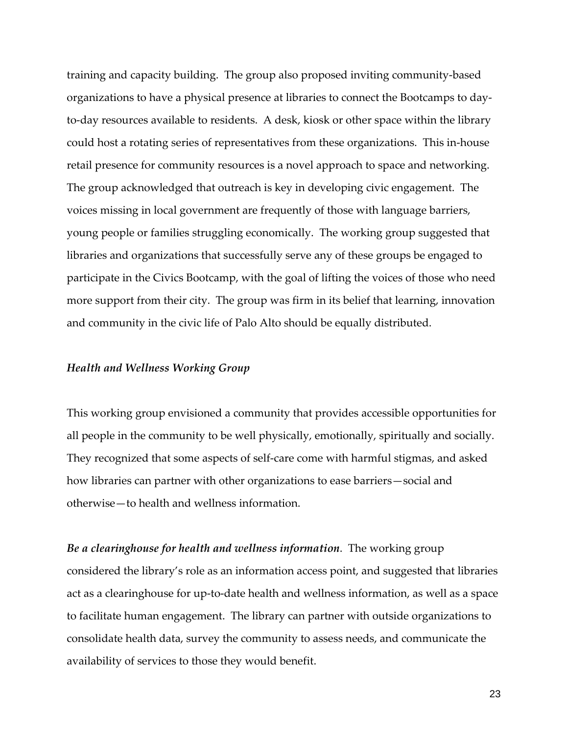training and capacity building. The group also proposed inviting community-based organizations to have a physical presence at libraries to connect the Bootcamps to dayto-day resources available to residents. A desk, kiosk or other space within the library could host a rotating series of representatives from these organizations. This in-house retail presence for community resources is a novel approach to space and networking. The group acknowledged that outreach is key in developing civic engagement. The voices missing in local government are frequently of those with language barriers, young people or families struggling economically. The working group suggested that libraries and organizations that successfully serve any of these groups be engaged to participate in the Civics Bootcamp, with the goal of lifting the voices of those who need more support from their city. The group was firm in its belief that learning, innovation and community in the civic life of Palo Alto should be equally distributed.

#### *Health and Wellness Working Group*

This working group envisioned a community that provides accessible opportunities for all people in the community to be well physically, emotionally, spiritually and socially. They recognized that some aspects of self-care come with harmful stigmas, and asked how libraries can partner with other organizations to ease barriers—social and otherwise—to health and wellness information.

*Be a clearinghouse for health and wellness information*. The working group considered the library's role as an information access point, and suggested that libraries act as a clearinghouse for up-to-date health and wellness information, as well as a space to facilitate human engagement. The library can partner with outside organizations to consolidate health data, survey the community to assess needs, and communicate the availability of services to those they would benefit.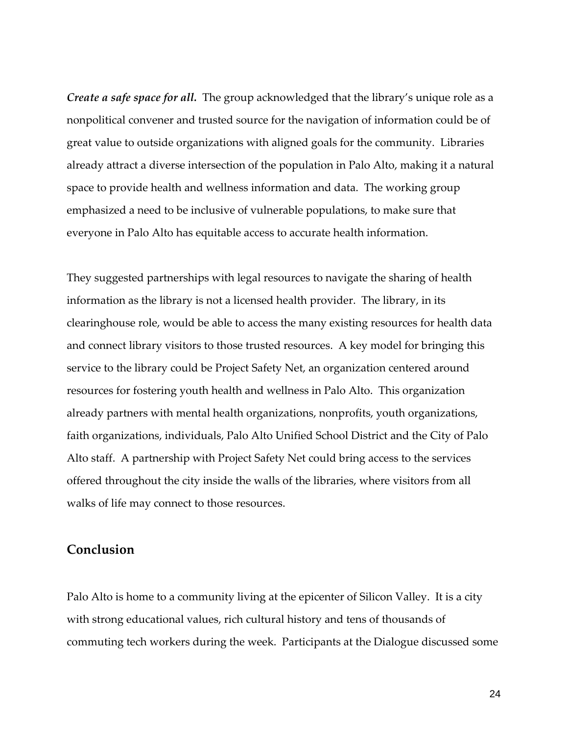*Create a safe space for all.* The group acknowledged that the library's unique role as a nonpolitical convener and trusted source for the navigation of information could be of great value to outside organizations with aligned goals for the community. Libraries already attract a diverse intersection of the population in Palo Alto, making it a natural space to provide health and wellness information and data. The working group emphasized a need to be inclusive of vulnerable populations, to make sure that everyone in Palo Alto has equitable access to accurate health information.

They suggested partnerships with legal resources to navigate the sharing of health information as the library is not a licensed health provider. The library, in its clearinghouse role, would be able to access the many existing resources for health data and connect library visitors to those trusted resources. A key model for bringing this service to the library could be Project Safety Net, an organization centered around resources for fostering youth health and wellness in Palo Alto. This organization already partners with mental health organizations, nonprofits, youth organizations, faith organizations, individuals, Palo Alto Unified School District and the City of Palo Alto staff. A partnership with Project Safety Net could bring access to the services offered throughout the city inside the walls of the libraries, where visitors from all walks of life may connect to those resources.

## **Conclusion**

Palo Alto is home to a community living at the epicenter of Silicon Valley. It is a city with strong educational values, rich cultural history and tens of thousands of commuting tech workers during the week. Participants at the Dialogue discussed some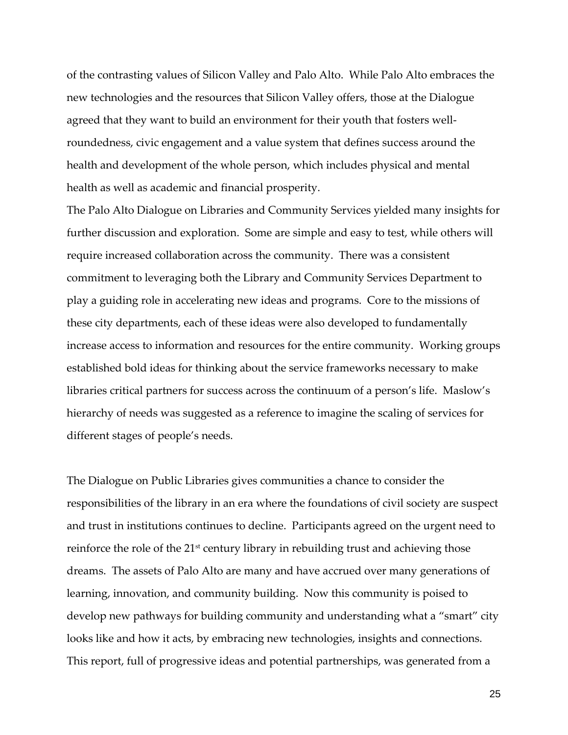of the contrasting values of Silicon Valley and Palo Alto. While Palo Alto embraces the new technologies and the resources that Silicon Valley offers, those at the Dialogue agreed that they want to build an environment for their youth that fosters wellroundedness, civic engagement and a value system that defines success around the health and development of the whole person, which includes physical and mental health as well as academic and financial prosperity.

The Palo Alto Dialogue on Libraries and Community Services yielded many insights for further discussion and exploration. Some are simple and easy to test, while others will require increased collaboration across the community. There was a consistent commitment to leveraging both the Library and Community Services Department to play a guiding role in accelerating new ideas and programs. Core to the missions of these city departments, each of these ideas were also developed to fundamentally increase access to information and resources for the entire community. Working groups established bold ideas for thinking about the service frameworks necessary to make libraries critical partners for success across the continuum of a person's life. Maslow's hierarchy of needs was suggested as a reference to imagine the scaling of services for different stages of people's needs.

The Dialogue on Public Libraries gives communities a chance to consider the responsibilities of the library in an era where the foundations of civil society are suspect and trust in institutions continues to decline. Participants agreed on the urgent need to reinforce the role of the 21<sup>st</sup> century library in rebuilding trust and achieving those dreams. The assets of Palo Alto are many and have accrued over many generations of learning, innovation, and community building. Now this community is poised to develop new pathways for building community and understanding what a "smart" city looks like and how it acts, by embracing new technologies, insights and connections. This report, full of progressive ideas and potential partnerships, was generated from a